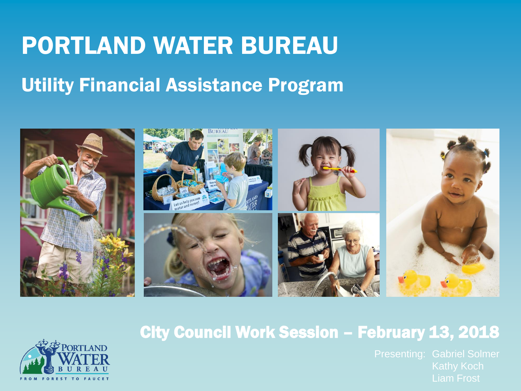# PORTLAND WATER BUREAU

#### Utility Financial Assistance Program





#### City Council Work Session – February 13, 2018

Liam Frost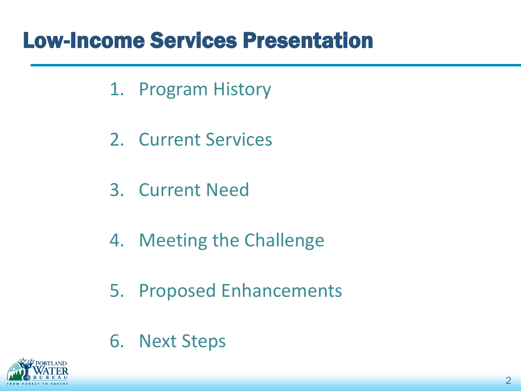## Low-Income Services Presentation

- 1. Program History
- 2. Current Services
- 3. Current Need
- 4. Meeting the Challenge
- 5. Proposed Enhancements
- 6. Next Steps

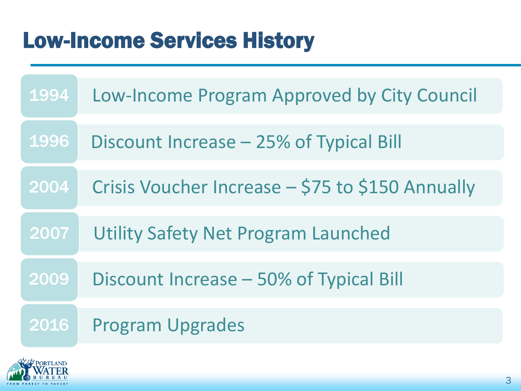# Low-Income Services History

| 1994 | Low-Income Program Approved by City Council      |
|------|--------------------------------------------------|
| 1996 | Discount Increase – 25% of Typical Bill          |
| 2004 | Crisis Voucher Increase – \$75 to \$150 Annually |
| 2007 | <b>Utility Safety Net Program Launched</b>       |
| 2009 | Discount Increase – 50% of Typical Bill          |
| 2016 | <b>Program Upgrades</b>                          |

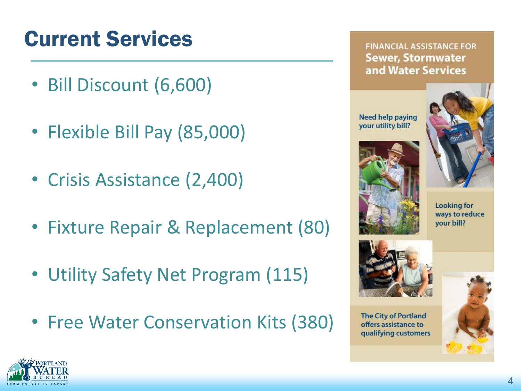# Current Services

- Bill Discount (6,600)
- Flexible Bill Pay (85,000)
- Crisis Assistance (2,400)
- Fixture Repair & Replacement (80)
- Utility Safety Net Program (115)
- Free Water Conservation Kits (380)

**FINANCIAL ASSISTANCE FOR Sewer, Stormwater** and Water Services

**Need help paying** your utility bill?









**The City of Portland** offers assistance to qualifying customers



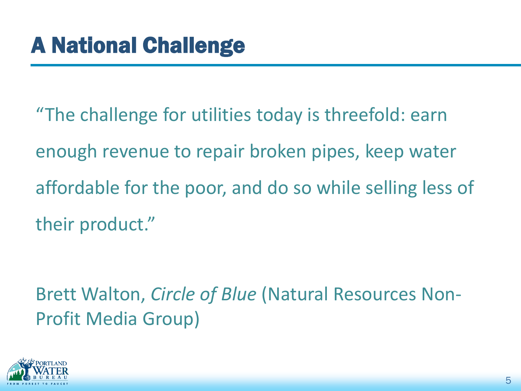"The challenge for utilities today is threefold: earn enough revenue to repair broken pipes, keep water affordable for the poor, and do so while selling less of their product."

Brett Walton, *Circle of Blue* (Natural Resources Non-Profit Media Group)

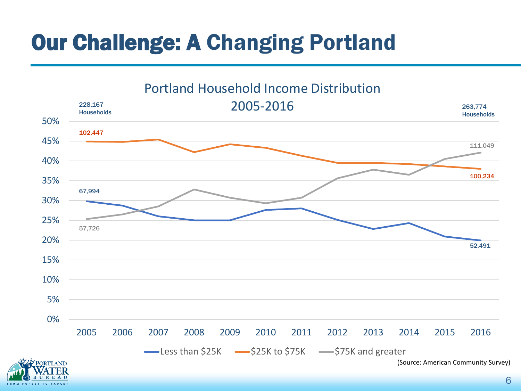# Our Challenge: A Changing Portland

Portland Household Income Distribution



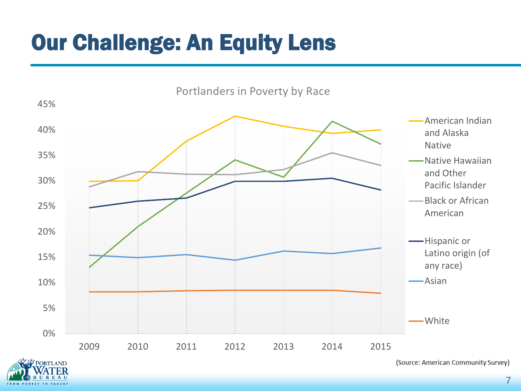# Our Challenge: An Equity Lens





<sup>(</sup>Source: American Community Survey)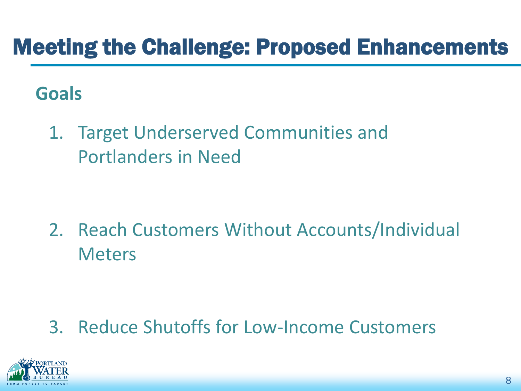## Meeting the Challenge: Proposed Enhancements

#### **Goals**

1. Target Underserved Communities and Portlanders in Need

2. Reach Customers Without Accounts/Individual **Meters** 

#### 3. Reduce Shutoffs for Low-Income Customers

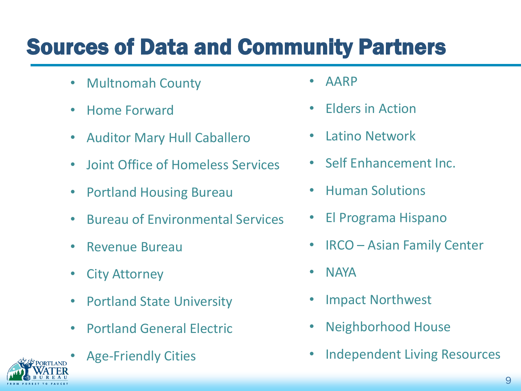# Sources of Data and Community Partners

- Multnomah County
- Home Forward
- Auditor Mary Hull Caballero
- Joint Office of Homeless Services
- Portland Housing Bureau
- Bureau of Environmental Services
- Revenue Bureau
- City Attorney
- Portland State University
- Portland General Electric
- 
- Age-Friendly Cities
- AARP
- Elders in Action
- Latino Network
- Self Enhancement Inc.
- Human Solutions
- El Programa Hispano
- IRCO Asian Family Center
- NAYA
- Impact Northwest
- Neighborhood House
- Independent Living Resources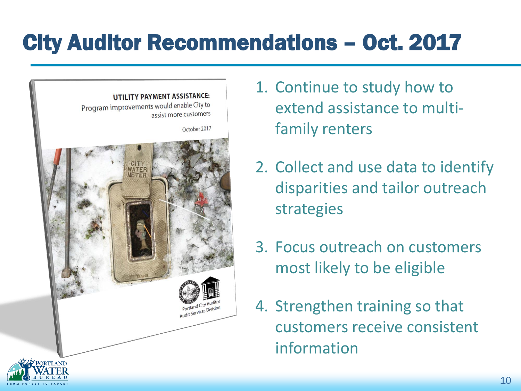# City Auditor Recommendations – Oct. 2017



- 1. Continue to study how to extend assistance to multifamily renters
- 2. Collect and use data to identify disparities and tailor outreach strategies
- 3. Focus outreach on customers most likely to be eligible
- 4. Strengthen training so that customers receive consistent information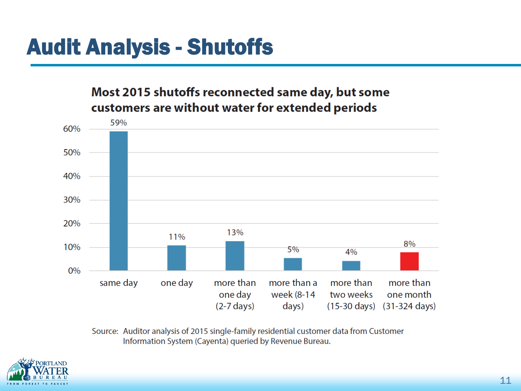# Audit Analysis - Shutoffs

Most 2015 shutoffs reconnected same day, but some customers are without water for extended periods



Source: Auditor analysis of 2015 single-family residential customer data from Customer Information System (Cayenta) queried by Revenue Bureau.

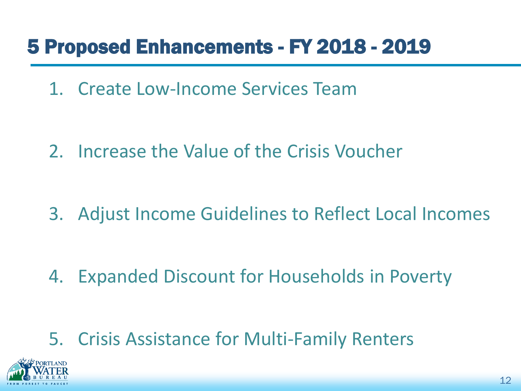#### 5 Proposed Enhancements - FY 2018 - 2019

1. Create Low-Income Services Team

2. Increase the Value of the Crisis Voucher

3. Adjust Income Guidelines to Reflect Local Incomes

4. Expanded Discount for Households in Poverty

5. Crisis Assistance for Multi-Family Renters

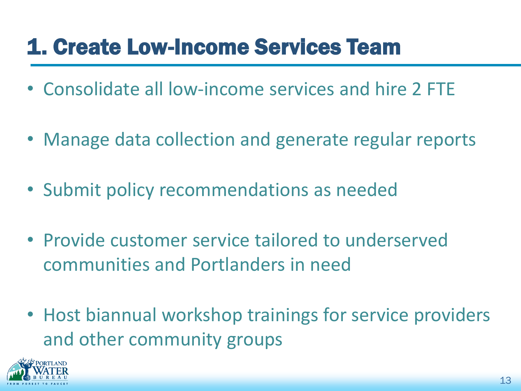# 1. Create Low-Income Services Team

- Consolidate all low-income services and hire 2 FTE
- Manage data collection and generate regular reports
- Submit policy recommendations as needed
- Provide customer service tailored to underserved communities and Portlanders in need
- Host biannual workshop trainings for service providers and other community groups

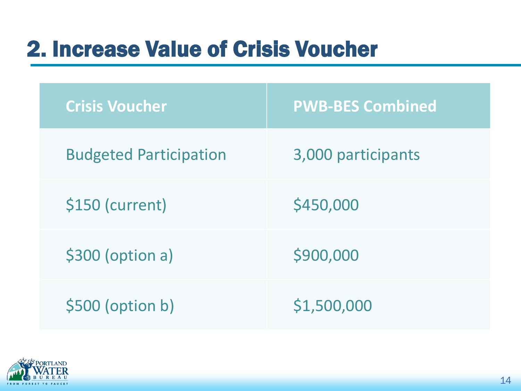# 2. Increase Value of Crisis Voucher

| <b>Crisis Voucher</b>         | <b>PWB-BES Combined</b> |
|-------------------------------|-------------------------|
| <b>Budgeted Participation</b> | 3,000 participants      |
| \$150 (current)               | \$450,000               |
| \$300 (option a)              | \$900,000               |
| \$500 (option b)              | \$1,500,000             |

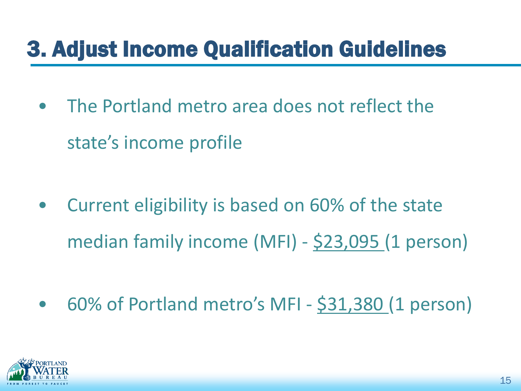# 3. Adjust Income Qualification Guidelines

• The Portland metro area does not reflect the state's income profile

- Current eligibility is based on 60% of the state median family income (MFI) - \$23,095 (1 person)
- 60% of Portland metro's MFI \$31,380 (1 person)

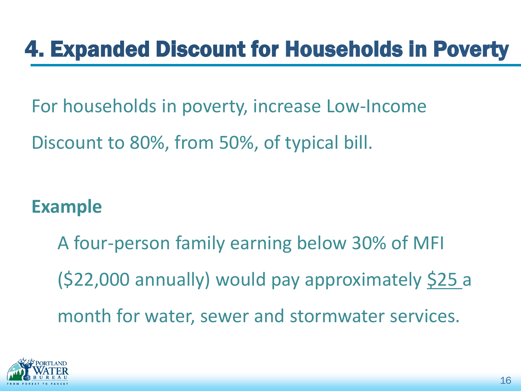# 4. Expanded Discount for Households in Poverty

For households in poverty, increase Low-Income

Discount to 80%, from 50%, of typical bill.

#### **Example**

A four-person family earning below 30% of MFI (\$22,000 annually) would pay approximately \$25 a month for water, sewer and stormwater services.

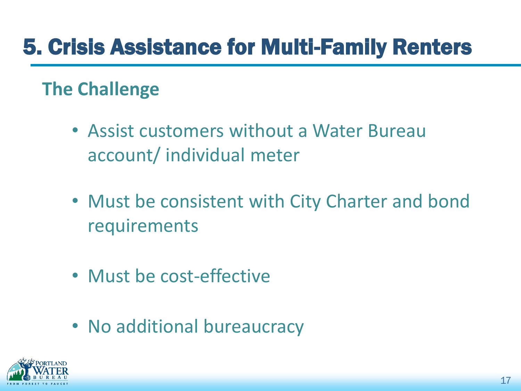#### **The Challenge**

- Assist customers without a Water Bureau account/ individual meter
- Must be consistent with City Charter and bond requirements
- Must be cost-effective
- No additional bureaucracy

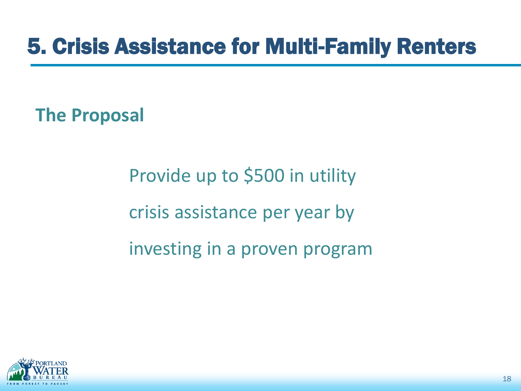**The Proposal**

Provide up to \$500 in utility crisis assistance per year by investing in a proven program

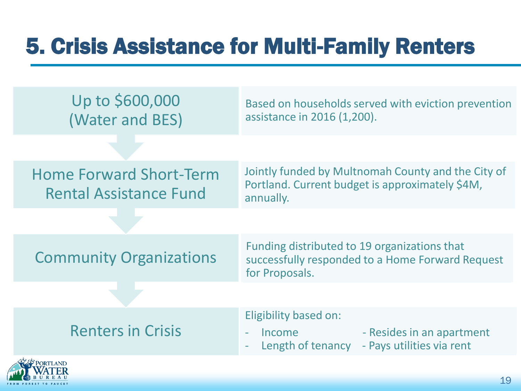| Up to \$600,000<br>(Water and BES)                              | Based on households served with eviction prevention<br>assistance in 2016 (1,200).                                 |
|-----------------------------------------------------------------|--------------------------------------------------------------------------------------------------------------------|
|                                                                 |                                                                                                                    |
| <b>Home Forward Short-Term</b><br><b>Rental Assistance Fund</b> | Jointly funded by Multnomah County and the City of<br>Portland. Current budget is approximately \$4M,<br>annually. |
|                                                                 |                                                                                                                    |
| <b>Community Organizations</b>                                  | Funding distributed to 19 organizations that<br>successfully responded to a Home Forward Request<br>for Proposals. |
|                                                                 |                                                                                                                    |
| <b>Renters in Crisis</b>                                        | Eligibility based on:<br>- Resides in an apartment<br>Income<br>- Pays utilities via rent<br>Length of tenancy     |
| <b>'ORTLAND</b>                                                 |                                                                                                                    |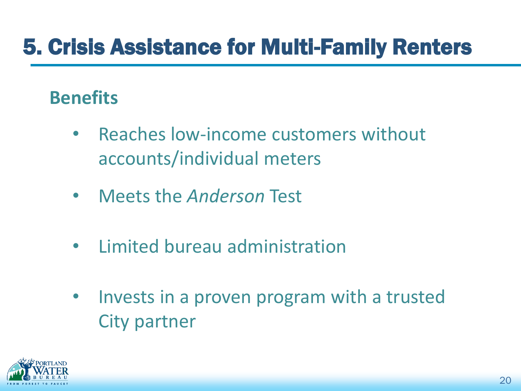#### **Benefits**

- Reaches low-income customers without accounts/individual meters
- Meets the *Anderson* Test
- Limited bureau administration
- Invests in a proven program with a trusted City partner